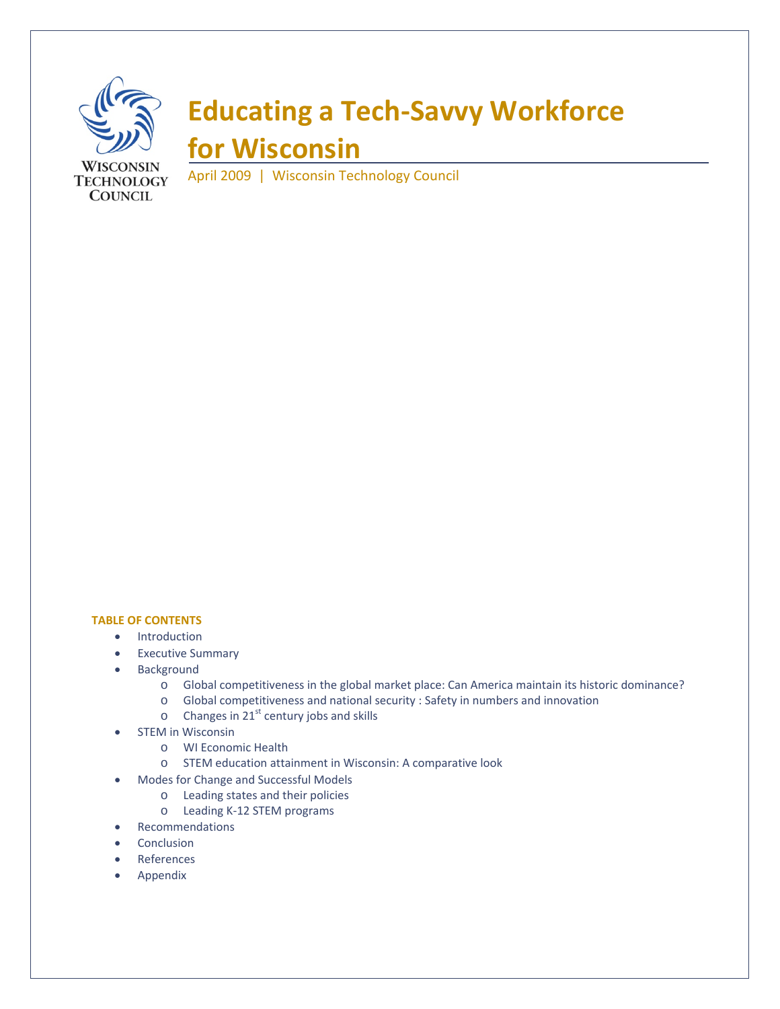

## **TABLE OF CONTENTS**

- Introduction
- Executive Summary
- Background
	- o Global competitiveness in the global market place: Can America maintain its historic dominance?
	- o Global competitiveness and national security : Safety in numbers and innovation
	- $\circ$  Changes in 21<sup>st</sup> century jobs and skills
- STEM in Wisconsin
	- o WI Economic Health
	- o STEM education attainment in Wisconsin: A comparative look
- Modes for Change and Successful Models
	- o Leading states and their policies
		- o Leading K‐12 STEM programs
- Recommendations
- Conclusion
- References
- **•** Appendix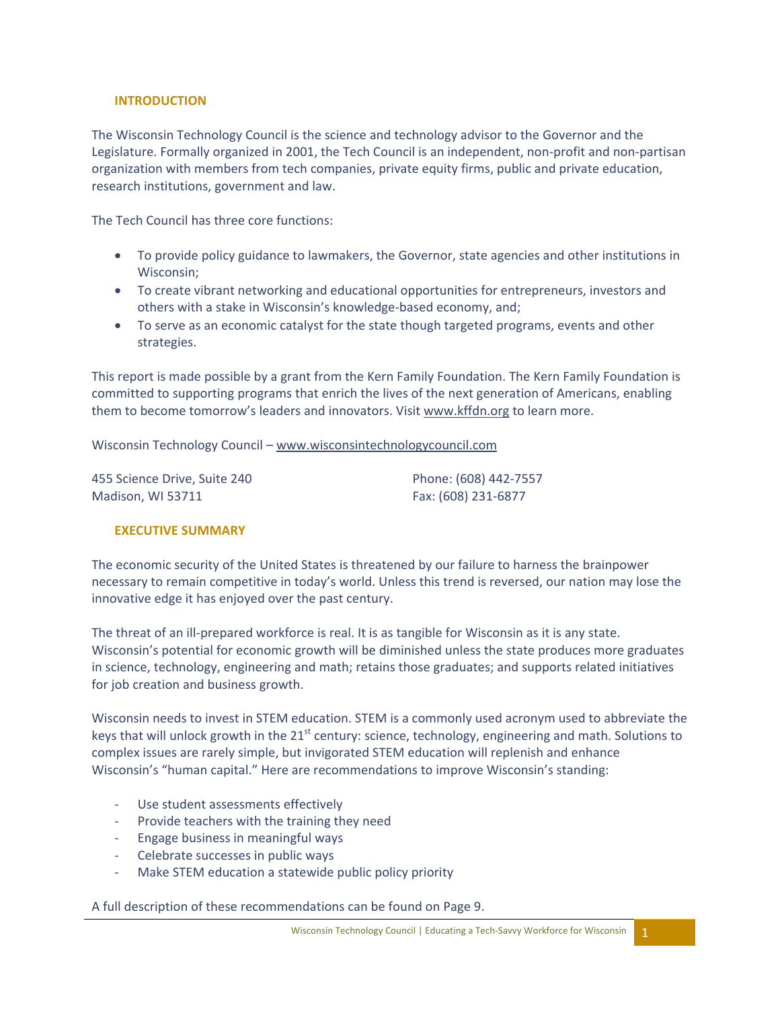# **INTRODUCTION**

The Wisconsin Technology Council is the science and technology advisor to the Governor and the Legislature. Formally organized in 2001, the Tech Council is an independent, non‐profit and non‐partisan organization with members from tech companies, private equity firms, public and private education, research institutions, government and law.

The Tech Council has three core functions:

- To provide policy guidance to lawmakers, the Governor, state agencies and other institutions in Wisconsin;
- To create vibrant networking and educational opportunities for entrepreneurs, investors and others with a stake in Wisconsin's knowledge‐based economy, and;
- To serve as an economic catalyst for the state though targeted programs, events and other strategies.

This report is made possible by a grant from the Kern Family Foundation. The Kern Family Foundation is committed to supporting programs that enrich the lives of the next generation of Americans, enabling them to become tomorrow's leaders and innovators. Visit www.kffdn.org to learn more.

Wisconsin Technology Council – www.wisconsintechnologycouncil.com

455 Science Drive, Suite 240 Madison, WI 53711

Phone: (608) 442‐7557 Fax: (608) 231‐6877

# **EXECUTIVE SUMMARY**

The economic security of the United States is threatened by our failure to harness the brainpower necessary to remain competitive in today's world. Unless this trend is reversed, our nation may lose the innovative edge it has enjoyed over the past century.

The threat of an ill-prepared workforce is real. It is as tangible for Wisconsin as it is any state. Wisconsin's potential for economic growth will be diminished unless the state produces more graduates in science, technology, engineering and math; retains those graduates; and supports related initiatives for job creation and business growth.

Wisconsin needs to invest in STEM education. STEM is a commonly used acronym used to abbreviate the keys that will unlock growth in the 21<sup>st</sup> century: science, technology, engineering and math. Solutions to complex issues are rarely simple, but invigorated STEM education will replenish and enhance Wisconsin's "human capital." Here are recommendations to improve Wisconsin's standing:

- ‐ Use student assessments effectively
- ‐ Provide teachers with the training they need
- ‐ Engage business in meaningful ways
- ‐ Celebrate successes in public ways
- Make STEM education a statewide public policy priority

A full description of these recommendations can be found on Page 9.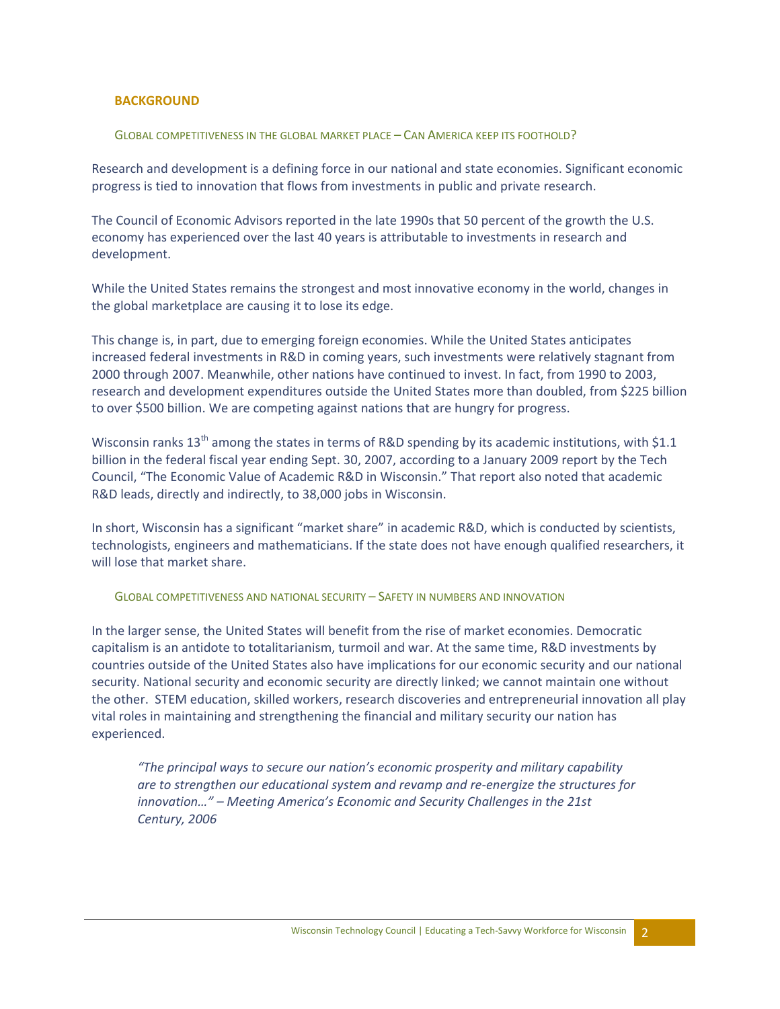# **BACKGROUND**

### GLOBAL COMPETITIVENESS IN THE GLOBAL MARKET PLACE – CAN AMERICA KEEP ITS FOOTHOLD?

Research and development is a defining force in our national and state economies. Significant economic progress is tied to innovation that flows from investments in public and private research.

The Council of Economic Advisors reported in the late 1990s that 50 percent of the growth the U.S. economy has experienced over the last 40 years is attributable to investments in research and development.

While the United States remains the strongest and most innovative economy in the world, changes in the global marketplace are causing it to lose its edge.

This change is, in part, due to emerging foreign economies. While the United States anticipates increased federal investments in R&D in coming years, such investments were relatively stagnant from 2000 through 2007. Meanwhile, other nations have continued to invest. In fact, from 1990 to 2003, research and development expenditures outside the United States more than doubled, from \$225 billion to over \$500 billion. We are competing against nations that are hungry for progress.

Wisconsin ranks 13<sup>th</sup> among the states in terms of R&D spending by its academic institutions, with \$1.1 billion in the federal fiscal year ending Sept. 30, 2007, according to a January 2009 report by the Tech Council, "The Economic Value of Academic R&D in Wisconsin." That report also noted that academic R&D leads, directly and indirectly, to 38,000 jobs in Wisconsin.

In short, Wisconsin has a significant "market share" in academic R&D, which is conducted by scientists, technologists, engineers and mathematicians. If the state does not have enough qualified researchers, it will lose that market share.

### GLOBAL COMPETITIVENESS AND NATIONAL SECURITY – SAFETY IN NUMBERS AND INNOVATION

In the larger sense, the United States will benefit from the rise of market economies. Democratic capitalism is an antidote to totalitarianism, turmoil and war. At the same time, R&D investments by countries outside of the United States also have implications for our economic security and our national security. National security and economic security are directly linked; we cannot maintain one without the other. STEM education, skilled workers, research discoveries and entrepreneurial innovation all play vital roles in maintaining and strengthening the financial and military security our nation has experienced.

*"The principal ways to secure our nation's economic prosperity and military capability are to strengthen our educational system and revamp and re‐energize the structures for innovation…" – Meeting America's Economic and Security Challenges in the 21st Century, 2006*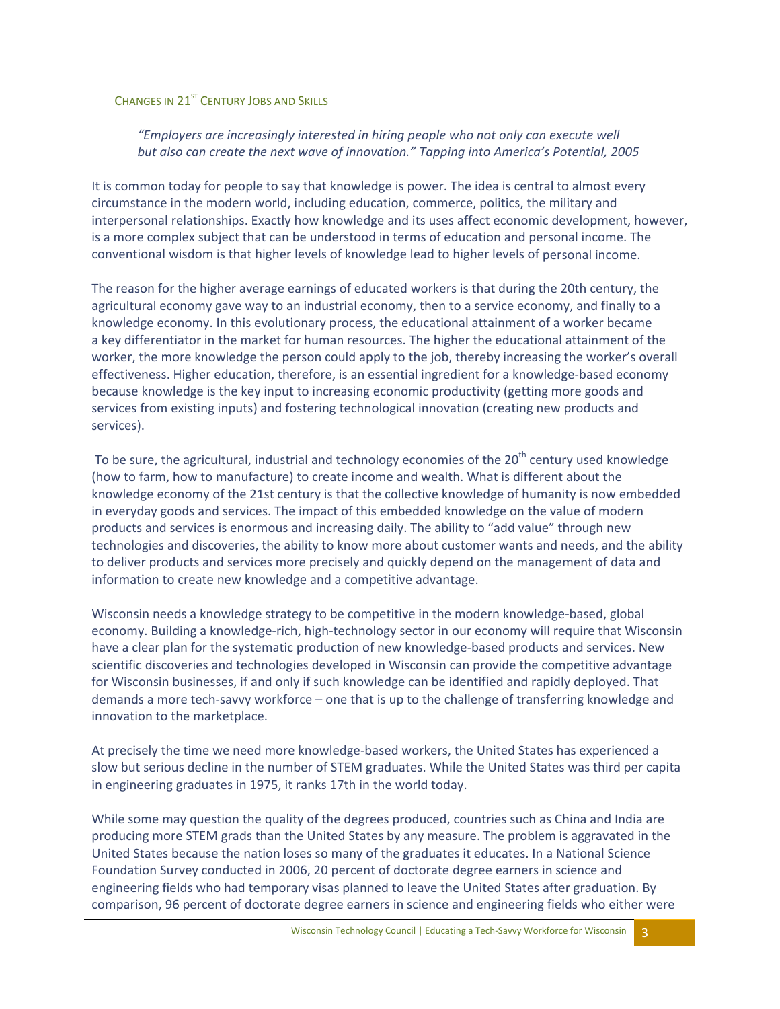# CHANGES IN 21<sup>ST</sup> CENTURY JOBS AND SKILLS

# *"Employers are increasingly interested in hiring people who not only can execute well but also can create the next wave of innovation." Tapping into America's Potential, 2005*

It is common today for people to say that knowledge is power. The idea is central to almost every circumstance in the modern world, including education, commerce, politics, the military and interpersonal relationships. Exactly how knowledge and its uses affect economic development, however, is a more complex subject that can be understood in terms of education and personal income. The conventional wisdom is that higher levels of knowledge lead to higher levels of personal income.

The reason for the higher average earnings of educated workers is that during the 20th century, the agricultural economy gave way to an industrial economy, then to a service economy, and finally to a knowledge economy. In this evolutionary process, the educational attainment of a worker became a key differentiator in the market for human resources. The higher the educational attainment of the worker, the more knowledge the person could apply to the job, thereby increasing the worker's overall effectiveness. Higher education, therefore, is an essential ingredient for a knowledge‐based economy because knowledge is the key input to increasing economic productivity (getting more goods and services from existing inputs) and fostering technological innovation (creating new products and services).

To be sure, the agricultural, industrial and technology economies of the 20<sup>th</sup> century used knowledge (how to farm, how to manufacture) to create income and wealth. What is different about the knowledge economy of the 21st century is that the collective knowledge of humanity is now embedded in everyday goods and services. The impact of this embedded knowledge on the value of modern products and services is enormous and increasing daily. The ability to "add value" through new technologies and discoveries, the ability to know more about customer wants and needs, and the ability to deliver products and services more precisely and quickly depend on the management of data and information to create new knowledge and a competitive advantage.

Wisconsin needs a knowledge strategy to be competitive in the modern knowledge‐based, global economy. Building a knowledge-rich, high-technology sector in our economy will require that Wisconsin have a clear plan for the systematic production of new knowledge-based products and services. New scientific discoveries and technologies developed in Wisconsin can provide the competitive advantage for Wisconsin businesses, if and only if such knowledge can be identified and rapidly deployed. That demands a more tech‐savvy workforce – one that is up to the challenge of transferring knowledge and innovation to the marketplace.

At precisely the time we need more knowledge‐based workers, the United States has experienced a slow but serious decline in the number of STEM graduates. While the United States was third per capita in engineering graduates in 1975, it ranks 17th in the world today.

While some may question the quality of the degrees produced, countries such as China and India are producing more STEM grads than the United States by any measure. The problem is aggravated in the United States because the nation loses so many of the graduates it educates. In a National Science Foundation Survey conducted in 2006, 20 percent of doctorate degree earners in science and engineering fields who had temporary visas planned to leave the United States after graduation. By comparison, 96 percent of doctorate degree earners in science and engineering fields who either were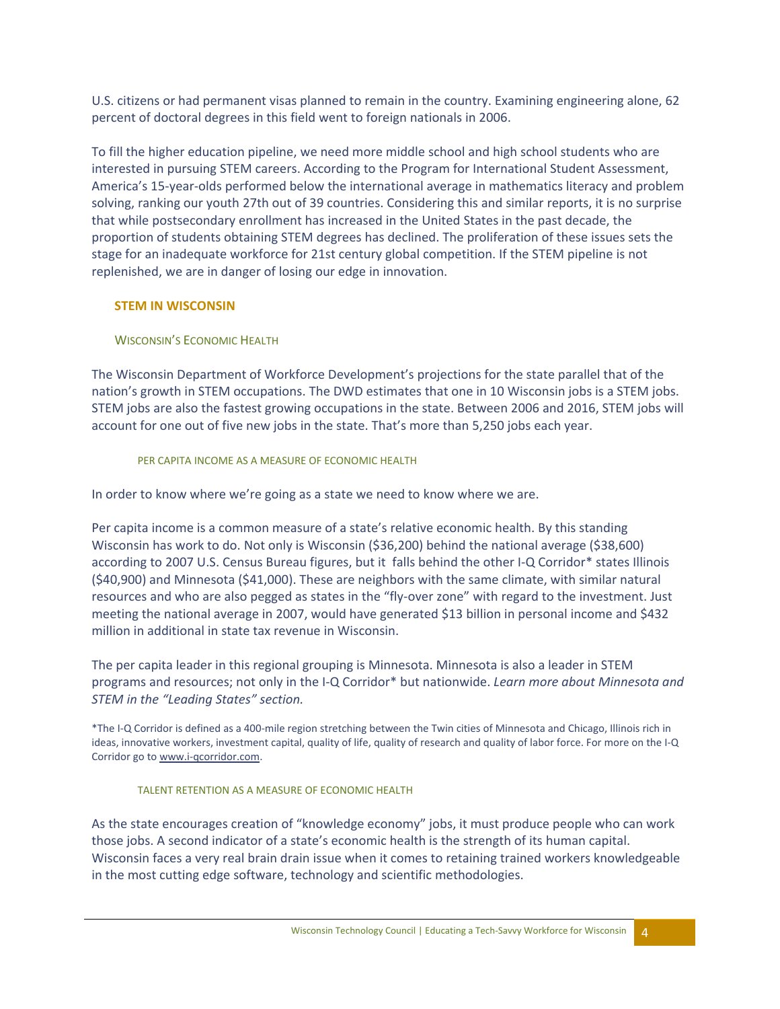U.S. citizens or had permanent visas planned to remain in the country. Examining engineering alone, 62 percent of doctoral degrees in this field went to foreign nationals in 2006.

To fill the higher education pipeline, we need more middle school and high school students who are interested in pursuing STEM careers. According to the Program for International Student Assessment, America's 15‐year‐olds performed below the international average in mathematics literacy and problem solving, ranking our youth 27th out of 39 countries. Considering this and similar reports, it is no surprise that while postsecondary enrollment has increased in the United States in the past decade, the proportion of students obtaining STEM degrees has declined. The proliferation of these issues sets the stage for an inadequate workforce for 21st century global competition. If the STEM pipeline is not replenished, we are in danger of losing our edge in innovation.

# **STEM IN WISCONSIN**

## WISCONSIN'S ECONOMIC HEALTH

The Wisconsin Department of Workforce Development's projections for the state parallel that of the nation's growth in STEM occupations. The DWD estimates that one in 10 Wisconsin jobs is a STEM jobs. STEM jobs are also the fastest growing occupations in the state. Between 2006 and 2016, STEM jobs will account for one out of five new jobs in the state. That's more than 5,250 jobs each year.

## PER CAPITA INCOME AS A MEASURE OF ECONOMIC HEALTH

In order to know where we're going as a state we need to know where we are.

Per capita income is a common measure of a state's relative economic health. By this standing Wisconsin has work to do. Not only is Wisconsin (\$36,200) behind the national average (\$38,600) according to 2007 U.S. Census Bureau figures, but it falls behind the other I‐Q Corridor\* states Illinois (\$40,900) and Minnesota (\$41,000). These are neighbors with the same climate, with similar natural resources and who are also pegged as states in the "fly‐over zone" with regard to the investment. Just meeting the national average in 2007, would have generated \$13 billion in personal income and \$432 million in additional in state tax revenue in Wisconsin.

The per capita leader in this regional grouping is Minnesota. Minnesota is also a leader in STEM programs and resources; not only in the I‐Q Corridor\* but nationwide. *Learn more about Minnesota and STEM in the "Leading States" section.* 

\*The I‐Q Corridor is defined as a 400‐mile region stretching between the Twin cities of Minnesota and Chicago, Illinois rich in ideas, innovative workers, investment capital, quality of life, quality of research and quality of labor force. For more on the I‐Q Corridor go to www.i‐qcorridor.com.

### TALENT RETENTION AS A MEASURE OF ECONOMIC HEALTH

As the state encourages creation of "knowledge economy" jobs, it must produce people who can work those jobs. A second indicator of a state's economic health is the strength of its human capital. Wisconsin faces a very real brain drain issue when it comes to retaining trained workers knowledgeable in the most cutting edge software, technology and scientific methodologies.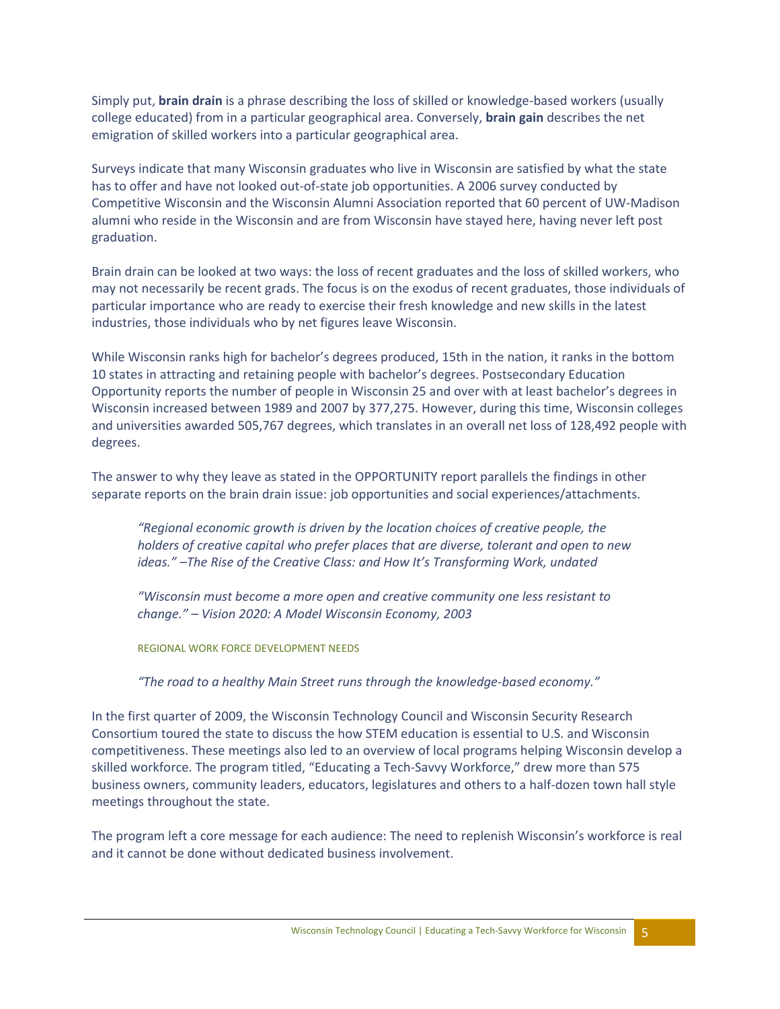Simply put, **brain drain** is a phrase describing the loss of skilled or knowledge‐based workers (usually college educated) from in a particular geographical area. Conversely, **brain gain** describes the net emigration of skilled workers into a particular geographical area.

Surveys indicate that many Wisconsin graduates who live in Wisconsin are satisfied by what the state has to offer and have not looked out-of-state job opportunities. A 2006 survey conducted by Competitive Wisconsin and the Wisconsin Alumni Association reported that 60 percent of UW‐Madison alumni who reside in the Wisconsin and are from Wisconsin have stayed here, having never left post graduation.

Brain drain can be looked at two ways: the loss of recent graduates and the loss of skilled workers, who may not necessarily be recent grads. The focus is on the exodus of recent graduates, those individuals of particular importance who are ready to exercise their fresh knowledge and new skills in the latest industries, those individuals who by net figures leave Wisconsin.

While Wisconsin ranks high for bachelor's degrees produced, 15th in the nation, it ranks in the bottom 10 states in attracting and retaining people with bachelor's degrees. Postsecondary Education Opportunity reports the number of people in Wisconsin 25 and over with at least bachelor's degrees in Wisconsin increased between 1989 and 2007 by 377,275. However, during this time, Wisconsin colleges and universities awarded 505,767 degrees, which translates in an overall net loss of 128,492 people with degrees.

The answer to why they leave as stated in the OPPORTUNITY report parallels the findings in other separate reports on the brain drain issue: job opportunities and social experiences/attachments.

*"Regional economic growth is driven by the location choices of creative people, the holders of creative capital who prefer places that are diverse, tolerant and open to new ideas." –The Rise of the Creative Class: and How It's Transforming Work, undated*

*"Wisconsin must become a more open and creative community one less resistant to change." – Vision 2020: A Model Wisconsin Economy, 2003*

REGIONAL WORK FORCE DEVELOPMENT NEEDS

*"The road to a healthy Main Street runs through the knowledge‐based economy."*

In the first quarter of 2009, the Wisconsin Technology Council and Wisconsin Security Research Consortium toured the state to discuss the how STEM education is essential to U.S. and Wisconsin competitiveness. These meetings also led to an overview of local programs helping Wisconsin develop a skilled workforce. The program titled, "Educating a Tech‐Savvy Workforce," drew more than 575 business owners, community leaders, educators, legislatures and others to a half‐dozen town hall style meetings throughout the state.

The program left a core message for each audience: The need to replenish Wisconsin's workforce is real and it cannot be done without dedicated business involvement.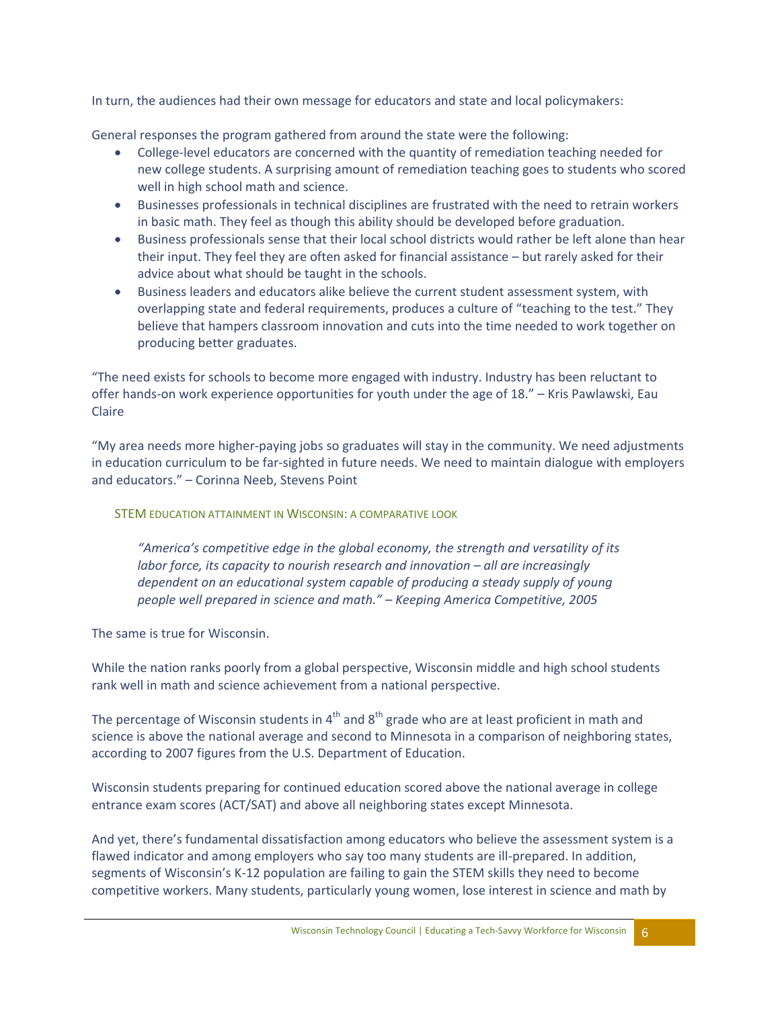In turn, the audiences had their own message for educators and state and local policymakers:

General responses the program gathered from around the state were the following:

- College-level educators are concerned with the quantity of remediation teaching needed for new college students. A surprising amount of remediation teaching goes to students who scored well in high school math and science.
- Businesses professionals in technical disciplines are frustrated with the need to retrain workers in basic math. They feel as though this ability should be developed before graduation.
- Business professionals sense that their local school districts would rather be left alone than hear their input. They feel they are often asked for financial assistance – but rarely asked for their advice about what should be taught in the schools.
- Business leaders and educators alike believe the current student assessment system, with overlapping state and federal requirements, produces a culture of "teaching to the test." They believe that hampers classroom innovation and cuts into the time needed to work together on producing better graduates.

"The need exists for schools to become more engaged with industry. Industry has been reluctant to offer hands‐on work experience opportunities for youth under the age of 18." – Kris Pawlawski, Eau Claire

"My area needs more higher‐paying jobs so graduates will stay in the community. We need adjustments in education curriculum to be far-sighted in future needs. We need to maintain dialogue with employers and educators." – Corinna Neeb, Stevens Point

# STEM EDUCATION ATTAINMENT IN WISCONSIN: A COMPARATIVE LOOK

*"America's competitive edge in the global economy, the strength and versatility of its labor force, its capacity to nourish research and innovation – all are increasingly dependent on an educational system capable of producing a steady supply of young people well prepared in science and math." – Keeping America Competitive, 2005*

The same is true for Wisconsin.

While the nation ranks poorly from a global perspective, Wisconsin middle and high school students rank well in math and science achievement from a national perspective.

The percentage of Wisconsin students in  $4<sup>th</sup>$  and  $8<sup>th</sup>$  grade who are at least proficient in math and science is above the national average and second to Minnesota in a comparison of neighboring states, according to 2007 figures from the U.S. Department of Education.

Wisconsin students preparing for continued education scored above the national average in college entrance exam scores (ACT/SAT) and above all neighboring states except Minnesota.

And yet, there's fundamental dissatisfaction among educators who believe the assessment system is a flawed indicator and among employers who say too many students are ill-prepared. In addition, segments of Wisconsin's K‐12 population are failing to gain the STEM skills they need to become competitive workers. Many students, particularly young women, lose interest in science and math by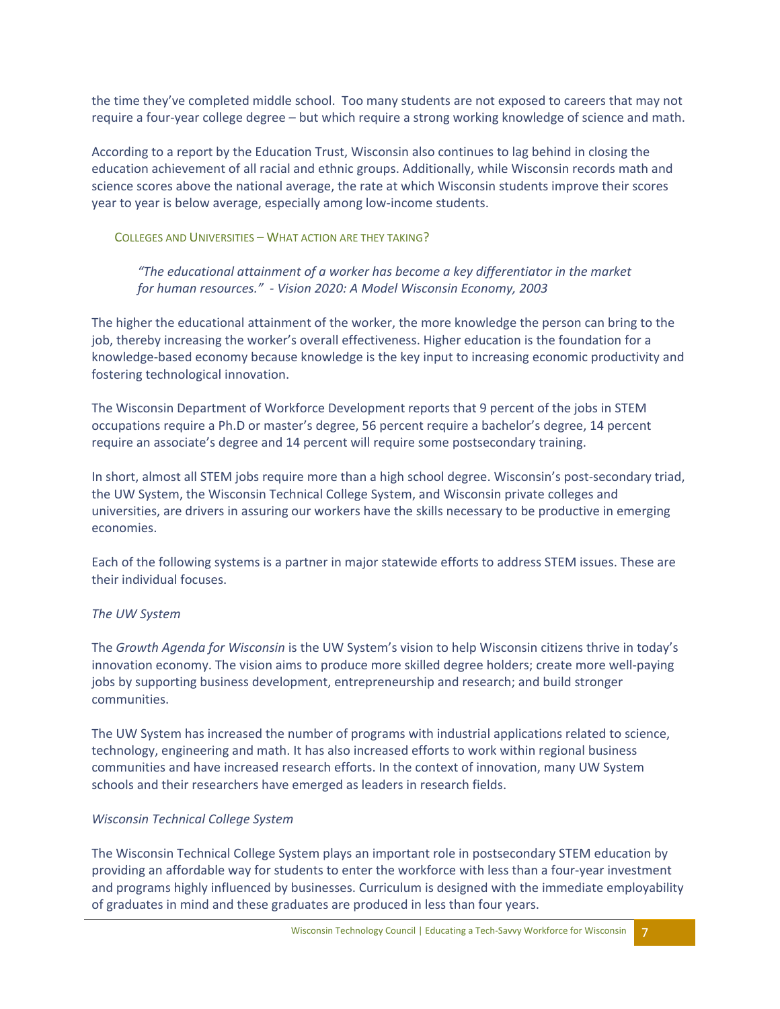the time they've completed middle school. Too many students are not exposed to careers that may not require a four‐year college degree – but which require a strong working knowledge of science and math.

According to a report by the Education Trust, Wisconsin also continues to lag behind in closing the education achievement of all racial and ethnic groups. Additionally, while Wisconsin records math and science scores above the national average, the rate at which Wisconsin students improve their scores year to year is below average, especially among low‐income students.

COLLEGES AND UNIVERSITIES – WHAT ACTION ARE THEY TAKING?

*"The educational attainment of a worker has become a key differentiator in the market for human resources." ‐ Vision 2020: A Model Wisconsin Economy, 2003* 

The higher the educational attainment of the worker, the more knowledge the person can bring to the job, thereby increasing the worker's overall effectiveness. Higher education is the foundation for a knowledge‐based economy because knowledge is the key input to increasing economic productivity and fostering technological innovation.

The Wisconsin Department of Workforce Development reports that 9 percent of the jobs in STEM occupations require a Ph.D or master's degree, 56 percent require a bachelor's degree, 14 percent require an associate's degree and 14 percent will require some postsecondary training.

In short, almost all STEM jobs require more than a high school degree. Wisconsin's post-secondary triad, the UW System, the Wisconsin Technical College System, and Wisconsin private colleges and universities, are drivers in assuring our workers have the skills necessary to be productive in emerging economies.

Each of the following systems is a partner in major statewide efforts to address STEM issues. These are their individual focuses.

# *The UW System*

The *Growth Agenda for Wisconsin* is the UW System's vision to help Wisconsin citizens thrive in today's innovation economy. The vision aims to produce more skilled degree holders; create more well‐paying jobs by supporting business development, entrepreneurship and research; and build stronger communities.

The UW System has increased the number of programs with industrial applications related to science, technology, engineering and math. It has also increased efforts to work within regional business communities and have increased research efforts. In the context of innovation, many UW System schools and their researchers have emerged as leaders in research fields.

# *Wisconsin Technical College System*

The Wisconsin Technical College System plays an important role in postsecondary STEM education by providing an affordable way for students to enter the workforce with less than a four‐year investment and programs highly influenced by businesses. Curriculum is designed with the immediate employability of graduates in mind and these graduates are produced in less than four years.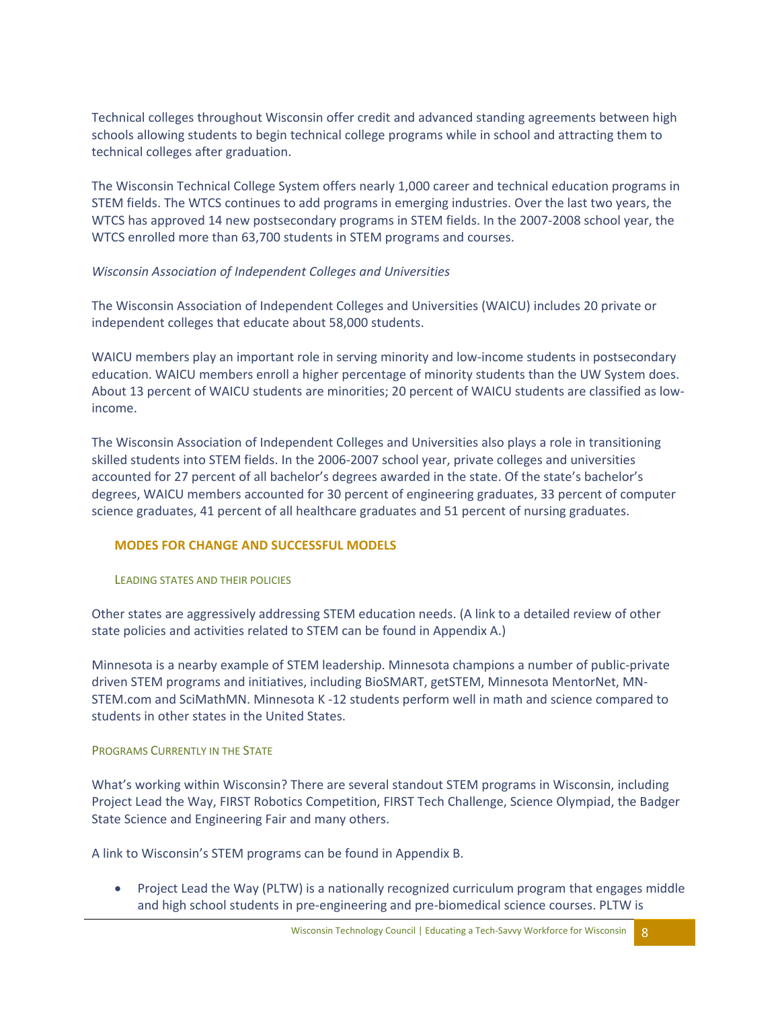Technical colleges throughout Wisconsin offer credit and advanced standing agreements between high schools allowing students to begin technical college programs while in school and attracting them to technical colleges after graduation.

The Wisconsin Technical College System offers nearly 1,000 career and technical education programs in STEM fields. The WTCS continues to add programs in emerging industries. Over the last two years, the WTCS has approved 14 new postsecondary programs in STEM fields. In the 2007-2008 school year, the WTCS enrolled more than 63,700 students in STEM programs and courses.

# *Wisconsin Association of Independent Colleges and Universities*

The Wisconsin Association of Independent Colleges and Universities (WAICU) includes 20 private or independent colleges that educate about 58,000 students.

WAICU members play an important role in serving minority and low-income students in postsecondary education. WAICU members enroll a higher percentage of minority students than the UW System does. About 13 percent of WAICU students are minorities; 20 percent of WAICU students are classified as low‐ income.

The Wisconsin Association of Independent Colleges and Universities also plays a role in transitioning skilled students into STEM fields. In the 2006‐2007 school year, private colleges and universities accounted for 27 percent of all bachelor's degrees awarded in the state. Of the state's bachelor's degrees, WAICU members accounted for 30 percent of engineering graduates, 33 percent of computer science graduates, 41 percent of all healthcare graduates and 51 percent of nursing graduates.

# **MODES FOR CHANGE AND SUCCESSFUL MODELS**

LEADING STATES AND THEIR POLICIES

Other states are aggressively addressing STEM education needs. (A link to a detailed review of other state policies and activities related to STEM can be found in Appendix A.)

Minnesota is a nearby example of STEM leadership. Minnesota champions a number of public‐private driven STEM programs and initiatives, including BioSMART, getSTEM, Minnesota MentorNet, MN‐ STEM.com and SciMathMN. Minnesota K ‐12 students perform well in math and science compared to students in other states in the United States.

# PROGRAMS CURRENTLY IN THE STATE

What's working within Wisconsin? There are several standout STEM programs in Wisconsin, including Project Lead the Way, FIRST Robotics Competition, FIRST Tech Challenge, Science Olympiad, the Badger State Science and Engineering Fair and many others.

A link to Wisconsin's STEM programs can be found in Appendix B.

• Project Lead the Way (PLTW) is a nationally recognized curriculum program that engages middle and high school students in pre‐engineering and pre‐biomedical science courses. PLTW is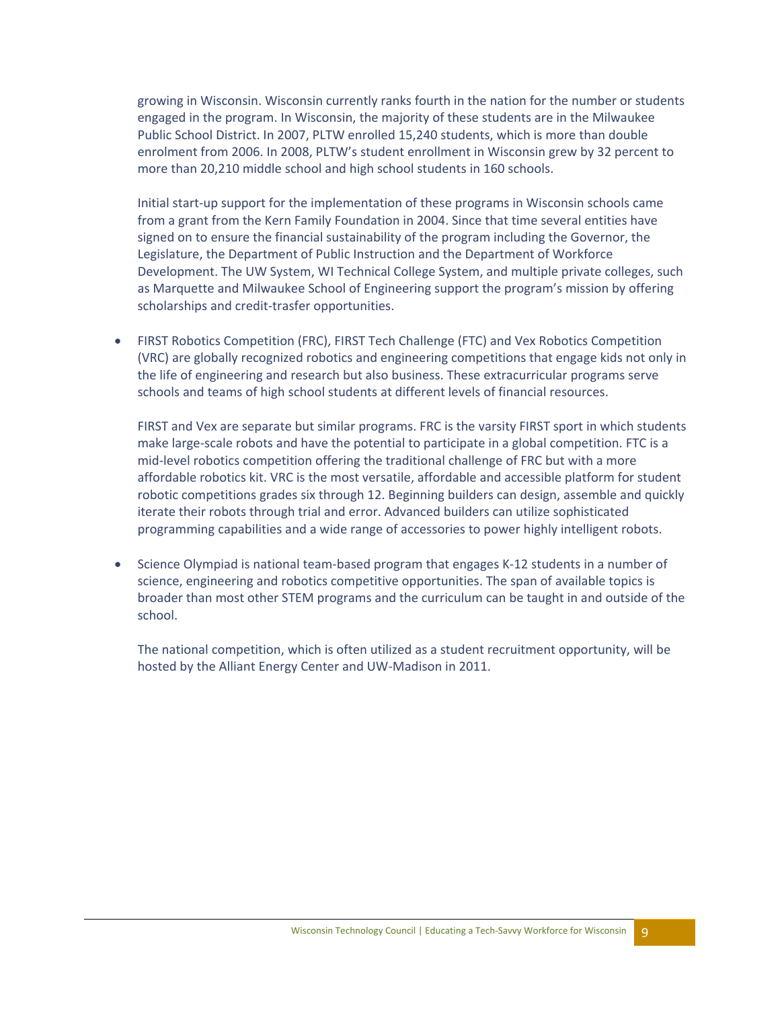growing in Wisconsin. Wisconsin currently ranks fourth in the nation for the number or students engaged in the program. In Wisconsin, the majority of these students are in the Milwaukee Public School District. In 2007, PLTW enrolled 15,240 students, which is more than double enrolment from 2006. In 2008, PLTW's student enrollment in Wisconsin grew by 32 percent to more than 20,210 middle school and high school students in 160 schools.

Initial start‐up support for the implementation of these programs in Wisconsin schools came from a grant from the Kern Family Foundation in 2004. Since that time several entities have signed on to ensure the financial sustainability of the program including the Governor, the Legislature, the Department of Public Instruction and the Department of Workforce Development. The UW System, WI Technical College System, and multiple private colleges, such as Marquette and Milwaukee School of Engineering support the program's mission by offering scholarships and credit‐trasfer opportunities.

 FIRST Robotics Competition (FRC), FIRST Tech Challenge (FTC) and Vex Robotics Competition (VRC) are globally recognized robotics and engineering competitions that engage kids not only in the life of engineering and research but also business. These extracurricular programs serve schools and teams of high school students at different levels of financial resources.

FIRST and Vex are separate but similar programs. FRC is the varsity FIRST sport in which students make large‐scale robots and have the potential to participate in a global competition. FTC is a mid‐level robotics competition offering the traditional challenge of FRC but with a more affordable robotics kit. VRC is the most versatile, affordable and accessible platform for student robotic competitions grades six through 12. Beginning builders can design, assemble and quickly iterate their robots through trial and error. Advanced builders can utilize sophisticated programming capabilities and a wide range of accessories to power highly intelligent robots.

 Science Olympiad is national team‐based program that engages K‐12 students in a number of science, engineering and robotics competitive opportunities. The span of available topics is broader than most other STEM programs and the curriculum can be taught in and outside of the school.

The national competition, which is often utilized as a student recruitment opportunity, will be hosted by the Alliant Energy Center and UW‐Madison in 2011.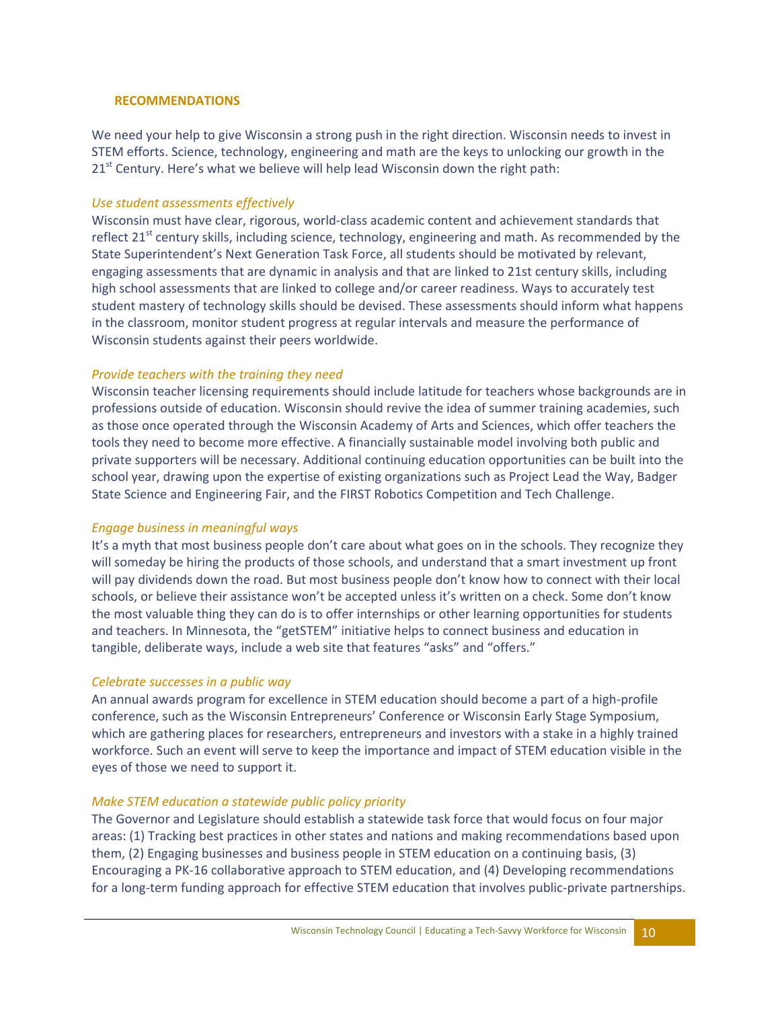### **RECOMMENDATIONS**

We need your help to give Wisconsin a strong push in the right direction. Wisconsin needs to invest in STEM efforts. Science, technology, engineering and math are the keys to unlocking our growth in the 21<sup>st</sup> Century. Here's what we believe will help lead Wisconsin down the right path:

## *Use student assessments effectively*

Wisconsin must have clear, rigorous, world‐class academic content and achievement standards that reflect 21<sup>st</sup> century skills, including science, technology, engineering and math. As recommended by the State Superintendent's Next Generation Task Force, all students should be motivated by relevant, engaging assessments that are dynamic in analysis and that are linked to 21st century skills, including high school assessments that are linked to college and/or career readiness. Ways to accurately test student mastery of technology skills should be devised. These assessments should inform what happens in the classroom, monitor student progress at regular intervals and measure the performance of Wisconsin students against their peers worldwide.

# *Provide teachers with the training they need*

Wisconsin teacher licensing requirements should include latitude for teachers whose backgrounds are in professions outside of education. Wisconsin should revive the idea of summer training academies, such as those once operated through the Wisconsin Academy of Arts and Sciences, which offer teachers the tools they need to become more effective. A financially sustainable model involving both public and private supporters will be necessary. Additional continuing education opportunities can be built into the school year, drawing upon the expertise of existing organizations such as Project Lead the Way, Badger State Science and Engineering Fair, and the FIRST Robotics Competition and Tech Challenge.

### *Engage business in meaningful ways*

It's a myth that most business people don't care about what goes on in the schools. They recognize they will someday be hiring the products of those schools, and understand that a smart investment up front will pay dividends down the road. But most business people don't know how to connect with their local schools, or believe their assistance won't be accepted unless it's written on a check. Some don't know the most valuable thing they can do is to offer internships or other learning opportunities for students and teachers. In Minnesota, the "getSTEM" initiative helps to connect business and education in tangible, deliberate ways, include a web site that features "asks" and "offers."

### *Celebrate successes in a public way*

An annual awards program for excellence in STEM education should become a part of a high‐profile conference, such as the Wisconsin Entrepreneurs' Conference or Wisconsin Early Stage Symposium, which are gathering places for researchers, entrepreneurs and investors with a stake in a highly trained workforce. Such an event will serve to keep the importance and impact of STEM education visible in the eyes of those we need to support it.

# *Make STEM education a statewide public policy priority*

The Governor and Legislature should establish a statewide task force that would focus on four major areas: (1) Tracking best practices in other states and nations and making recommendations based upon them, (2) Engaging businesses and business people in STEM education on a continuing basis, (3) Encouraging a PK‐16 collaborative approach to STEM education, and (4) Developing recommendations for a long-term funding approach for effective STEM education that involves public-private partnerships.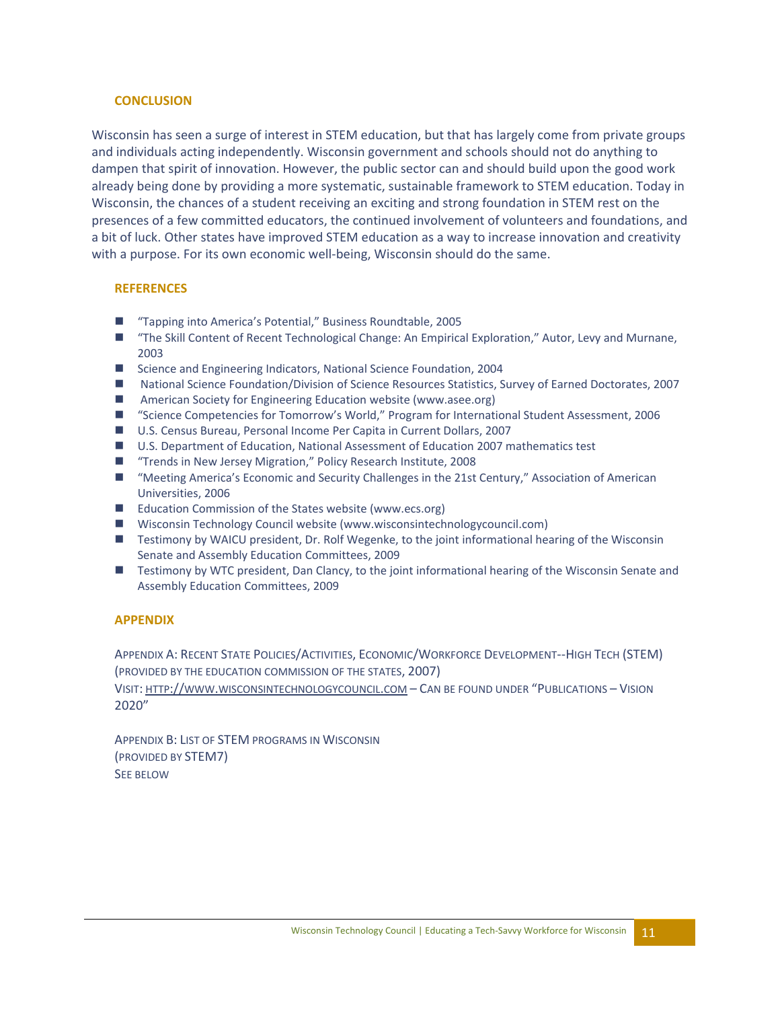#### **CONCLUSION**

Wisconsin has seen a surge of interest in STEM education, but that has largely come from private groups and individuals acting independently. Wisconsin government and schools should not do anything to dampen that spirit of innovation. However, the public sector can and should build upon the good work already being done by providing a more systematic, sustainable framework to STEM education. Today in Wisconsin, the chances of a student receiving an exciting and strong foundation in STEM rest on the presences of a few committed educators, the continued involvement of volunteers and foundations, and a bit of luck. Other states have improved STEM education as a way to increase innovation and creativity with a purpose. For its own economic well-being, Wisconsin should do the same.

#### **REFERENCES**

- "Tapping into America's Potential," Business Roundtable, 2005
- "The Skill Content of Recent Technological Change: An Empirical Exploration," Autor, Levy and Murnane, 2003
- Science and Engineering Indicators, National Science Foundation, 2004
- National Science Foundation/Division of Science Resources Statistics, Survey of Earned Doctorates, 2007
- American Society for Engineering Education website (www.asee.org)
- "Science Competencies for Tomorrow's World," Program for International Student Assessment, 2006
- U.S. Census Bureau, Personal Income Per Capita in Current Dollars, 2007
- U.S. Department of Education, National Assessment of Education 2007 mathematics test
- "Trends in New Jersey Migration," Policy Research Institute, 2008
- "Meeting America's Economic and Security Challenges in the 21st Century," Association of American Universities, 2006
- Education Commission of the States website (www.ecs.org)
- Wisconsin Technology Council website (www.wisconsintechnologycouncil.com)
- Testimony by WAICU president, Dr. Rolf Wegenke, to the joint informational hearing of the Wisconsin Senate and Assembly Education Committees, 2009
- Testimony by WTC president, Dan Clancy, to the joint informational hearing of the Wisconsin Senate and Assembly Education Committees, 2009

### **APPENDIX**

APPENDIX A: RECENT STATE POLICIES/ACTIVITIES, ECONOMIC/WORKFORCE DEVELOPMENT‐‐HIGH TECH (STEM) (PROVIDED BY THE EDUCATION COMMISSION OF THE STATES, 2007) VISIT: HTTP://WWW.WISCONSINTECHNOLOGYCOUNCIL.COM – CAN BE FOUND UNDER "PUBLICATIONS – VISION 2020"

APPENDIX B: LIST OF STEM PROGRAMS IN WISCONSIN (PROVIDED BY STEM7) SEE BELOW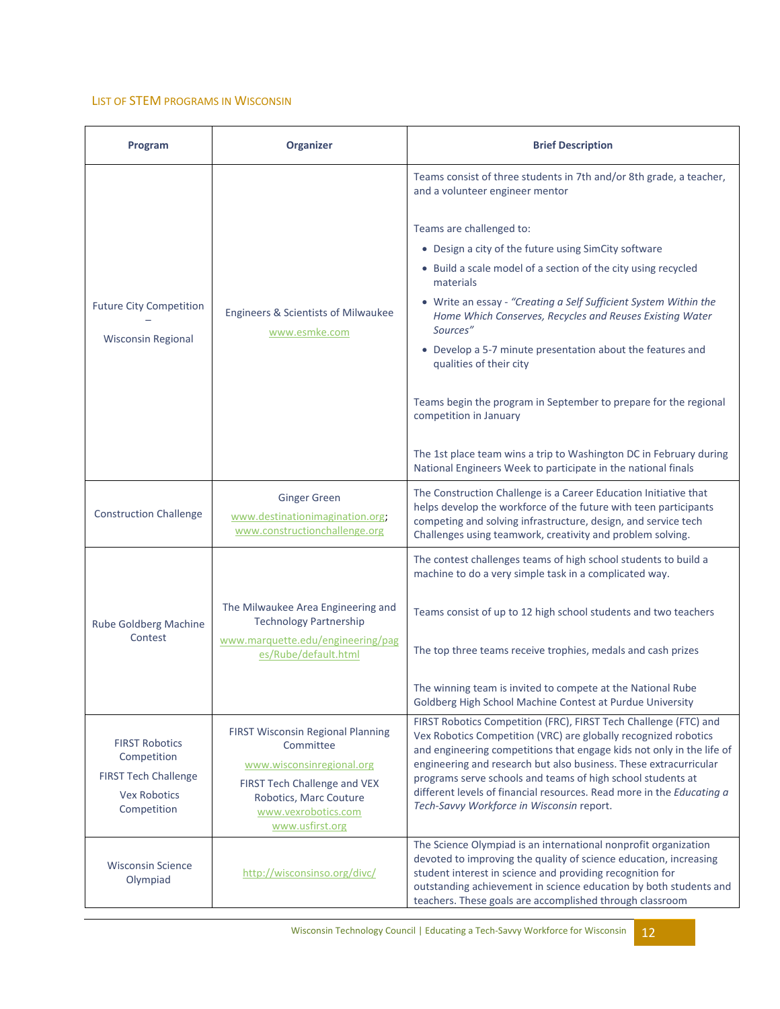### LIST OF STEM PROGRAMS IN WISCONSIN

| Program                                                                                                   | Organizer                                                                                                                                                                       | <b>Brief Description</b>                                                                                                                                                                                                                                                                                                                                                                                                                                                                                                                                                                                    |
|-----------------------------------------------------------------------------------------------------------|---------------------------------------------------------------------------------------------------------------------------------------------------------------------------------|-------------------------------------------------------------------------------------------------------------------------------------------------------------------------------------------------------------------------------------------------------------------------------------------------------------------------------------------------------------------------------------------------------------------------------------------------------------------------------------------------------------------------------------------------------------------------------------------------------------|
| <b>Future City Competition</b><br><b>Wisconsin Regional</b>                                               | Engineers & Scientists of Milwaukee<br>www.esmke.com                                                                                                                            | Teams consist of three students in 7th and/or 8th grade, a teacher,<br>and a volunteer engineer mentor<br>Teams are challenged to:<br>• Design a city of the future using SimCity software<br>• Build a scale model of a section of the city using recycled<br>materials<br>• Write an essay - "Creating a Self Sufficient System Within the<br>Home Which Conserves, Recycles and Reuses Existing Water<br>Sources"<br>• Develop a 5-7 minute presentation about the features and<br>qualities of their city<br>Teams begin the program in September to prepare for the regional<br>competition in January |
|                                                                                                           |                                                                                                                                                                                 | The 1st place team wins a trip to Washington DC in February during<br>National Engineers Week to participate in the national finals                                                                                                                                                                                                                                                                                                                                                                                                                                                                         |
| <b>Construction Challenge</b>                                                                             | <b>Ginger Green</b><br>www.destinationimagination.org;<br>www.constructionchallenge.org                                                                                         | The Construction Challenge is a Career Education Initiative that<br>helps develop the workforce of the future with teen participants<br>competing and solving infrastructure, design, and service tech<br>Challenges using teamwork, creativity and problem solving.                                                                                                                                                                                                                                                                                                                                        |
| Rube Goldberg Machine<br>Contest                                                                          |                                                                                                                                                                                 | The contest challenges teams of high school students to build a<br>machine to do a very simple task in a complicated way.                                                                                                                                                                                                                                                                                                                                                                                                                                                                                   |
|                                                                                                           | The Milwaukee Area Engineering and<br><b>Technology Partnership</b><br>www.marquette.edu/engineering/pag<br>es/Rube/default.html                                                | Teams consist of up to 12 high school students and two teachers<br>The top three teams receive trophies, medals and cash prizes                                                                                                                                                                                                                                                                                                                                                                                                                                                                             |
|                                                                                                           |                                                                                                                                                                                 | The winning team is invited to compete at the National Rube<br>Goldberg High School Machine Contest at Purdue University                                                                                                                                                                                                                                                                                                                                                                                                                                                                                    |
| <b>FIRST Robotics</b><br>Competition<br><b>FIRST Tech Challenge</b><br><b>Vex Robotics</b><br>Competition | FIRST Wisconsin Regional Planning<br>Committee<br>www.wisconsinregional.org<br>FIRST Tech Challenge and VEX<br>Robotics, Marc Couture<br>www.vexrobotics.com<br>www.usfirst.org | FIRST Robotics Competition (FRC), FIRST Tech Challenge (FTC) and<br>Vex Robotics Competition (VRC) are globally recognized robotics<br>and engineering competitions that engage kids not only in the life of<br>engineering and research but also business. These extracurricular<br>programs serve schools and teams of high school students at<br>different levels of financial resources. Read more in the Educating a<br>Tech-Savvy Workforce in Wisconsin report.                                                                                                                                      |
| <b>Wisconsin Science</b><br>Olympiad                                                                      | http://wisconsinso.org/divc/                                                                                                                                                    | The Science Olympiad is an international nonprofit organization<br>devoted to improving the quality of science education, increasing<br>student interest in science and providing recognition for<br>outstanding achievement in science education by both students and<br>teachers. These goals are accomplished through classroom                                                                                                                                                                                                                                                                          |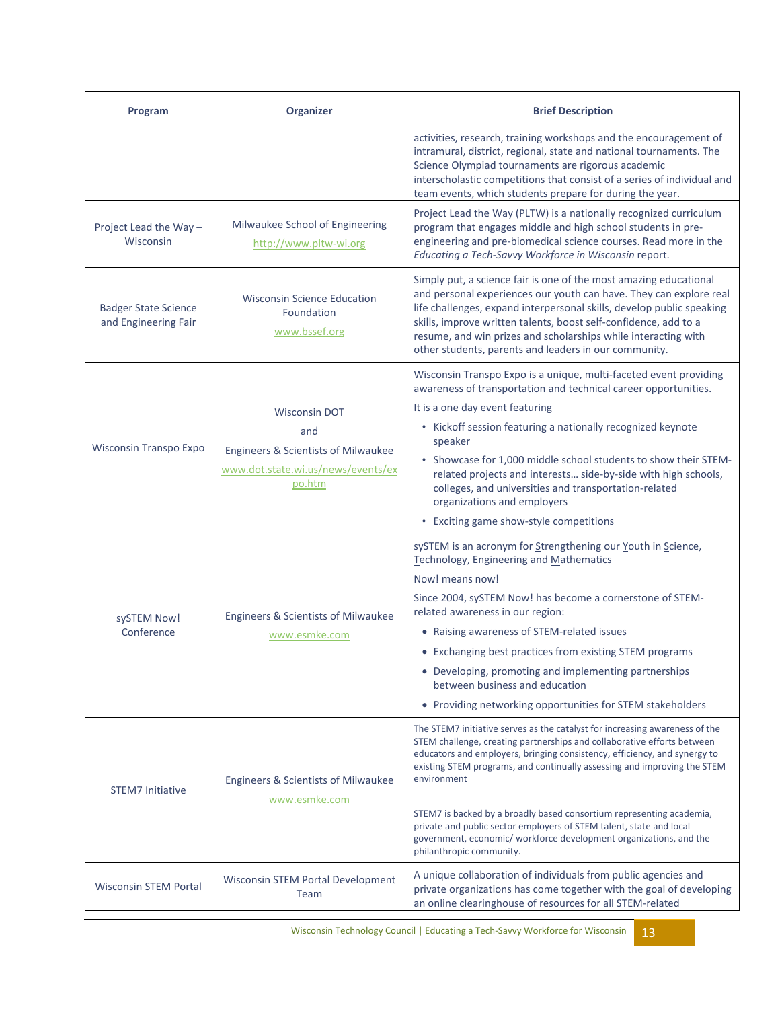| Program                                             | Organizer                                                                                                          | <b>Brief Description</b>                                                                                                                                                                                                                                                                                                                                                                                                                                                                                                                                                        |
|-----------------------------------------------------|--------------------------------------------------------------------------------------------------------------------|---------------------------------------------------------------------------------------------------------------------------------------------------------------------------------------------------------------------------------------------------------------------------------------------------------------------------------------------------------------------------------------------------------------------------------------------------------------------------------------------------------------------------------------------------------------------------------|
|                                                     |                                                                                                                    | activities, research, training workshops and the encouragement of<br>intramural, district, regional, state and national tournaments. The<br>Science Olympiad tournaments are rigorous academic<br>interscholastic competitions that consist of a series of individual and<br>team events, which students prepare for during the year.                                                                                                                                                                                                                                           |
| Project Lead the Way-<br>Wisconsin                  | Milwaukee School of Engineering<br>http://www.pltw-wi.org                                                          | Project Lead the Way (PLTW) is a nationally recognized curriculum<br>program that engages middle and high school students in pre-<br>engineering and pre-biomedical science courses. Read more in the<br>Educating a Tech-Savvy Workforce in Wisconsin report.                                                                                                                                                                                                                                                                                                                  |
| <b>Badger State Science</b><br>and Engineering Fair | <b>Wisconsin Science Education</b><br>Foundation<br>www.bssef.org                                                  | Simply put, a science fair is one of the most amazing educational<br>and personal experiences our youth can have. They can explore real<br>life challenges, expand interpersonal skills, develop public speaking<br>skills, improve written talents, boost self-confidence, add to a<br>resume, and win prizes and scholarships while interacting with<br>other students, parents and leaders in our community.                                                                                                                                                                 |
| Wisconsin Transpo Expo                              | <b>Wisconsin DOT</b><br>and<br>Engineers & Scientists of Milwaukee<br>www.dot.state.wi.us/news/events/ex<br>po.htm | Wisconsin Transpo Expo is a unique, multi-faceted event providing<br>awareness of transportation and technical career opportunities.                                                                                                                                                                                                                                                                                                                                                                                                                                            |
|                                                     |                                                                                                                    | It is a one day event featuring<br>• Kickoff session featuring a nationally recognized keynote<br>speaker<br>• Showcase for 1,000 middle school students to show their STEM-<br>related projects and interests side-by-side with high schools,<br>colleges, and universities and transportation-related<br>organizations and employers<br>• Exciting game show-style competitions                                                                                                                                                                                               |
| sySTEM Now!<br>Conference                           | Engineers & Scientists of Milwaukee<br>www.esmke.com                                                               | sySTEM is an acronym for Strengthening our Youth in Science,<br>Technology, Engineering and Mathematics<br>Now! means now!<br>Since 2004, sySTEM Now! has become a cornerstone of STEM-<br>related awareness in our region:<br>• Raising awareness of STEM-related issues<br>• Exchanging best practices from existing STEM programs<br>• Developing, promoting and implementing partnerships<br>between business and education<br>• Providing networking opportunities for STEM stakeholders                                                                                   |
| <b>STEM7 Initiative</b>                             | Engineers & Scientists of Milwaukee<br>www.esmke.com                                                               | The STEM7 initiative serves as the catalyst for increasing awareness of the<br>STEM challenge, creating partnerships and collaborative efforts between<br>educators and employers, bringing consistency, efficiency, and synergy to<br>existing STEM programs, and continually assessing and improving the STEM<br>environment<br>STEM7 is backed by a broadly based consortium representing academia,<br>private and public sector employers of STEM talent, state and local<br>government, economic/ workforce development organizations, and the<br>philanthropic community. |
| <b>Wisconsin STEM Portal</b>                        | <b>Wisconsin STEM Portal Development</b><br>Team                                                                   | A unique collaboration of individuals from public agencies and<br>private organizations has come together with the goal of developing<br>an online clearinghouse of resources for all STEM-related                                                                                                                                                                                                                                                                                                                                                                              |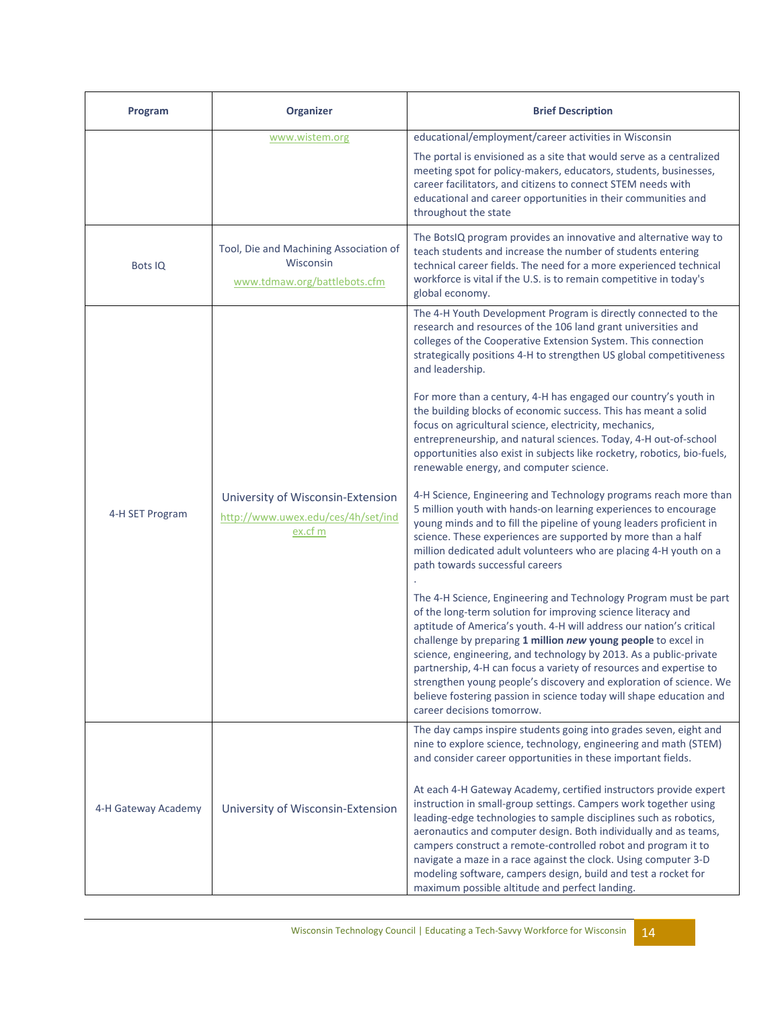| Program             | Organizer                                                                           | <b>Brief Description</b>                                                                                                                                                                                                                                                                                                                                                                                                                                                                                                                                                                       |
|---------------------|-------------------------------------------------------------------------------------|------------------------------------------------------------------------------------------------------------------------------------------------------------------------------------------------------------------------------------------------------------------------------------------------------------------------------------------------------------------------------------------------------------------------------------------------------------------------------------------------------------------------------------------------------------------------------------------------|
|                     | www.wistem.org                                                                      | educational/employment/career activities in Wisconsin<br>The portal is envisioned as a site that would serve as a centralized<br>meeting spot for policy-makers, educators, students, businesses,<br>career facilitators, and citizens to connect STEM needs with<br>educational and career opportunities in their communities and<br>throughout the state                                                                                                                                                                                                                                     |
| Bots IQ             | Tool, Die and Machining Association of<br>Wisconsin<br>www.tdmaw.org/battlebots.cfm | The BotsIQ program provides an innovative and alternative way to<br>teach students and increase the number of students entering<br>technical career fields. The need for a more experienced technical<br>workforce is vital if the U.S. is to remain competitive in today's<br>global economy.                                                                                                                                                                                                                                                                                                 |
| 4-H SET Program     |                                                                                     | The 4-H Youth Development Program is directly connected to the<br>research and resources of the 106 land grant universities and<br>colleges of the Cooperative Extension System. This connection<br>strategically positions 4-H to strengthen US global competitiveness<br>and leadership.<br>For more than a century, 4-H has engaged our country's youth in                                                                                                                                                                                                                                  |
|                     |                                                                                     | the building blocks of economic success. This has meant a solid<br>focus on agricultural science, electricity, mechanics,<br>entrepreneurship, and natural sciences. Today, 4-H out-of-school<br>opportunities also exist in subjects like rocketry, robotics, bio-fuels,<br>renewable energy, and computer science.                                                                                                                                                                                                                                                                           |
|                     | University of Wisconsin-Extension<br>http://www.uwex.edu/ces/4h/set/ind<br>ex.cf m  | 4-H Science, Engineering and Technology programs reach more than<br>5 million youth with hands-on learning experiences to encourage<br>young minds and to fill the pipeline of young leaders proficient in<br>science. These experiences are supported by more than a half<br>million dedicated adult volunteers who are placing 4-H youth on a<br>path towards successful careers                                                                                                                                                                                                             |
|                     |                                                                                     | The 4-H Science, Engineering and Technology Program must be part<br>of the long-term solution for improving science literacy and<br>aptitude of America's youth. 4-H will address our nation's critical<br>challenge by preparing 1 million new young people to excel in<br>science, engineering, and technology by 2013. As a public-private<br>partnership, 4-H can focus a variety of resources and expertise to<br>strengthen young people's discovery and exploration of science. We<br>believe fostering passion in science today will shape education and<br>career decisions tomorrow. |
| 4-H Gateway Academy |                                                                                     | The day camps inspire students going into grades seven, eight and<br>nine to explore science, technology, engineering and math (STEM)<br>and consider career opportunities in these important fields.                                                                                                                                                                                                                                                                                                                                                                                          |
|                     | University of Wisconsin-Extension                                                   | At each 4-H Gateway Academy, certified instructors provide expert<br>instruction in small-group settings. Campers work together using<br>leading-edge technologies to sample disciplines such as robotics,<br>aeronautics and computer design. Both individually and as teams,<br>campers construct a remote-controlled robot and program it to<br>navigate a maze in a race against the clock. Using computer 3-D<br>modeling software, campers design, build and test a rocket for<br>maximum possible altitude and perfect landing.                                                         |